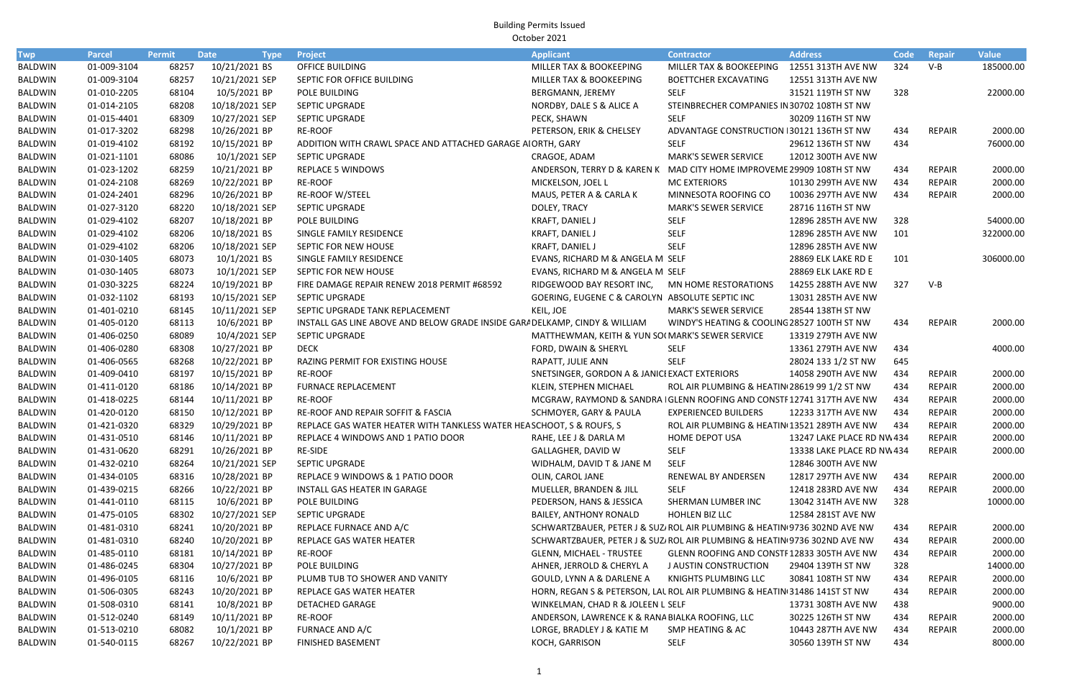| Twp            | <b>Parcel</b> | Permit | <b>Date</b><br><b>Type</b> | Project                                                                     | <b>Applicant</b>                                                          | <b>Contractor</b>                            | <b>Address</b>            | Code | Repair        | <b>Value</b> |
|----------------|---------------|--------|----------------------------|-----------------------------------------------------------------------------|---------------------------------------------------------------------------|----------------------------------------------|---------------------------|------|---------------|--------------|
| <b>BALDWIN</b> | 01-009-3104   | 68257  | 10/21/2021 BS              | OFFICE BUILDING                                                             | MILLER TAX & BOOKEEPING                                                   | MILLER TAX & BOOKEEPING 12551 313TH AVE NW   |                           | 324  | $V-B$         | 185000.00    |
| <b>BALDWIN</b> | 01-009-3104   | 68257  | 10/21/2021 SEP             | SEPTIC FOR OFFICE BUILDING                                                  | MILLER TAX & BOOKEEPING                                                   | <b>BOETTCHER EXCAVATING</b>                  | 12551 313TH AVE NW        |      |               |              |
| <b>BALDWIN</b> | 01-010-2205   | 68104  | 10/5/2021 BP               | POLE BUILDING                                                               | BERGMANN, JEREMY                                                          | <b>SELF</b>                                  | 31521 119TH ST NW         | 328  |               | 22000.00     |
| <b>BALDWIN</b> | 01-014-2105   | 68208  | 10/18/2021 SEP             | SEPTIC UPGRADE                                                              | NORDBY, DALE S & ALICE A                                                  | STEINBRECHER COMPANIES IN 30702 108TH ST NW  |                           |      |               |              |
| BALDWIN        | 01-015-4401   | 68309  | 10/27/2021 SEP             | SEPTIC UPGRADE                                                              | PECK, SHAWN                                                               | <b>SELF</b>                                  | 30209 116TH ST NW         |      |               |              |
| <b>BALDWIN</b> | 01-017-3202   | 68298  | 10/26/2021 BP              | <b>RE-ROOF</b>                                                              | PETERSON, ERIK & CHELSEY                                                  | ADVANTAGE CONSTRUCTION 130121 136TH ST NW    |                           | 434  | REPAIR        | 2000.00      |
| <b>BALDWIN</b> | 01-019-4102   | 68192  | 10/15/2021 BP              | ADDITION WITH CRAWL SPACE AND ATTACHED GARAGE AIORTH, GARY                  |                                                                           | <b>SELF</b>                                  | 29612 136TH ST NW         | 434  |               | 76000.00     |
| <b>BALDWIN</b> | 01-021-1101   | 68086  | 10/1/2021 SEP              | SEPTIC UPGRADE                                                              | CRAGOE, ADAM                                                              | <b>MARK'S SEWER SERVICE</b>                  | 12012 300TH AVE NW        |      |               |              |
| BALDWIN        | 01-023-1202   | 68259  | 10/21/2021 BP              | <b>REPLACE 5 WINDOWS</b>                                                    | ANDERSON, TERRY D & KAREN K MAD CITY HOME IMPROVEME 29909 108TH ST NW     |                                              |                           | 434  | <b>REPAIR</b> | 2000.00      |
| BALDWIN        | 01-024-2108   | 68269  | 10/22/2021 BP              | RE-ROOF                                                                     | MICKELSON, JOEL L                                                         | <b>MC EXTERIORS</b>                          | 10130 299TH AVE NW        | 434  | <b>REPAIR</b> | 2000.00      |
| <b>BALDWIN</b> | 01-024-2401   | 68296  | 10/26/2021 BP              | <b>RE-ROOF W/STEEL</b>                                                      | MAUS, PETER A & CARLA K                                                   | MINNESOTA ROOFING CO                         | 10036 297TH AVE NW        | 434  | <b>REPAIR</b> | 2000.00      |
| BALDWIN        | 01-027-3120   | 68220  | 10/18/2021 SEP             | SEPTIC UPGRADE                                                              | DOLEY, TRACY                                                              | <b>MARK'S SEWER SERVICE</b>                  | 28716 116TH ST NW         |      |               |              |
| BALDWIN        | 01-029-4102   | 68207  | 10/18/2021 BP              | POLE BUILDING                                                               | KRAFT, DANIEL J                                                           | <b>SELF</b>                                  | 12896 285TH AVE NW        | 328  |               | 54000.00     |
| BALDWIN        | 01-029-4102   | 68206  | 10/18/2021 BS              | SINGLE FAMILY RESIDENCE                                                     | KRAFT, DANIEL J                                                           | <b>SELF</b>                                  | 12896 285TH AVE NW        | 101  |               | 322000.00    |
| <b>BALDWIN</b> | 01-029-4102   | 68206  | 10/18/2021 SEP             | SEPTIC FOR NEW HOUSE                                                        | KRAFT, DANIEL J                                                           | <b>SELF</b>                                  | 12896 285TH AVE NW        |      |               |              |
| BALDWIN        | 01-030-1405   | 68073  | 10/1/2021 BS               | SINGLE FAMILY RESIDENCE                                                     | EVANS, RICHARD M & ANGELA M SELF                                          |                                              | 28869 ELK LAKE RD E       | 101  |               | 306000.00    |
| BALDWIN        | 01-030-1405   | 68073  | 10/1/2021 SEP              | SEPTIC FOR NEW HOUSE                                                        | EVANS, RICHARD M & ANGELA M SELF                                          |                                              | 28869 ELK LAKE RD E       |      |               |              |
| BALDWIN        | 01-030-3225   | 68224  | 10/19/2021 BP              | FIRE DAMAGE REPAIR RENEW 2018 PERMIT #68592                                 | RIDGEWOOD BAY RESORT INC, MN HOME RESTORATIONS                            |                                              | 14255 288TH AVE NW        | 327  | $V-B$         |              |
| BALDWIN        | 01-032-1102   | 68193  | 10/15/2021 SEP             | SEPTIC UPGRADE                                                              | GOERING, EUGENE C & CAROLYN ABSOLUTE SEPTIC INC                           |                                              | 13031 285TH AVE NW        |      |               |              |
| <b>BALDWIN</b> | 01-401-0210   | 68145  | 10/11/2021 SEP             | SEPTIC UPGRADE TANK REPLACEMENT                                             | KEIL, JOE                                                                 | <b>MARK'S SEWER SERVICE</b>                  | 28544 138TH ST NW         |      |               |              |
| <b>BALDWIN</b> | 01-405-0120   | 68113  | 10/6/2021 BP               | INSTALL GAS LINE ABOVE AND BELOW GRADE INSIDE GARA DELKAMP, CINDY & WILLIAM |                                                                           | WINDY'S HEATING & COOLING 28527 100TH ST NW  |                           | 434  | <b>REPAIR</b> | 2000.00      |
| <b>BALDWIN</b> | 01-406-0250   | 68089  | 10/4/2021 SEP              | SEPTIC UPGRADE                                                              | MATTHEWMAN, KEITH & YUN SOI MARK'S SEWER SERVICE                          |                                              | 13319 279TH AVE NW        |      |               |              |
| BALDWIN        | 01-406-0280   | 68308  | 10/27/2021 BP              | <b>DECK</b>                                                                 | FORD, DWAIN & SHERYL                                                      | <b>SELF</b>                                  | 13361 279TH AVE NW        | 434  |               | 4000.00      |
| BALDWIN        | 01-406-0565   | 68268  | 10/22/2021 BP              | RAZING PERMIT FOR EXISTING HOUSE                                            | RAPATT, JULIE ANN                                                         | <b>SELF</b>                                  | 28024 133 1/2 ST NW       | 645  |               |              |
| BALDWIN        | 01-409-0410   | 68197  | 10/15/2021 BP              | <b>RE-ROOF</b>                                                              | SNETSINGER, GORDON A & JANICI EXACT EXTERIORS                             |                                              | 14058 290TH AVE NW        | 434  | <b>REPAIR</b> | 2000.00      |
| <b>BALDWIN</b> | 01-411-0120   | 68186  | 10/14/2021 BP              | <b>FURNACE REPLACEMENT</b>                                                  | KLEIN, STEPHEN MICHAEL                                                    | ROL AIR PLUMBING & HEATIN 28619 99 1/2 ST NW |                           | 434  | <b>REPAIR</b> | 2000.00      |
| <b>BALDWIN</b> | 01-418-0225   | 68144  | 10/11/2021 BP              | <b>RE-ROOF</b>                                                              | MCGRAW, RAYMOND & SANDRA I GLENN ROOFING AND CONSTF12741 317TH AVE NW     |                                              |                           | 434  | <b>REPAIR</b> | 2000.00      |
| BALDWIN        | 01-420-0120   | 68150  | 10/12/2021 BP              | RE-ROOF AND REPAIR SOFFIT & FASCIA                                          | SCHMOYER, GARY & PAULA                                                    | <b>EXPERIENCED BUILDERS</b>                  | 12233 317TH AVE NW        | 434  | <b>REPAIR</b> | 2000.00      |
| BALDWIN        | 01-421-0320   | 68329  | 10/29/2021 BP              | REPLACE GAS WATER HEATER WITH TANKLESS WATER HEA SCHOOT, S & ROUFS, S       |                                                                           | ROL AIR PLUMBING & HEATIN 13521 289TH AVE NW |                           | 434  | REPAIR        | 2000.00      |
| BALDWIN        | 01-431-0510   | 68146  | 10/11/2021 BP              | REPLACE 4 WINDOWS AND 1 PATIO DOOR                                          | RAHE, LEE J & DARLA M                                                     | HOME DEPOT USA                               | 13247 LAKE PLACE RD NW434 |      | <b>REPAIR</b> | 2000.00      |
| BALDWIN        | 01-431-0620   | 68291  | 10/26/2021 BP              | <b>RE-SIDE</b>                                                              | GALLAGHER, DAVID W                                                        | <b>SELF</b>                                  | 13338 LAKE PLACE RD NW434 |      | <b>REPAIR</b> | 2000.00      |
| BALDWIN        | 01-432-0210   | 68264  | 10/21/2021 SEP             | SEPTIC UPGRADE                                                              | WIDHALM, DAVID T & JANE M                                                 | SELF                                         | 12846 300TH AVE NW        |      |               |              |
| BALDWIN        | 01-434-0105   | 68316  | 10/28/2021 BP              | REPLACE 9 WINDOWS & 1 PATIO DOOR                                            | OLIN, CAROL JANE                                                          | RENEWAL BY ANDERSEN                          | 12817 297TH AVE NW        | 434  | REPAIR        | 2000.00      |
| BALDWIN        | 01-439-0215   | 68266  | 10/22/2021 BP              | INSTALL GAS HEATER IN GARAGE                                                | MUELLER, BRANDEN & JILL                                                   | <b>SELF</b>                                  | 12418 283RD AVE NW        | 434  | <b>REPAIR</b> | 2000.00      |
| BALDWIN        | 01-441-0110   | 68115  | 10/6/2021 BP               | POLE BUILDING                                                               | PEDERSON, HANS & JESSICA                                                  | SHERMAN LUMBER INC                           | 13042 314TH AVE NW        | 328  |               | 10000.00     |
| BALDWIN        | 01-475-0105   | 68302  | 10/27/2021 SEP             | <b>SEPTIC UPGRADE</b>                                                       | BAILEY, ANTHONY RONALD                                                    | HOHLEN BIZ LLC                               | 12584 281ST AVE NW        |      |               |              |
| BALDWIN        | 01-481-0310   | 68241  | 10/20/2021 BP              | REPLACE FURNACE AND A/C                                                     | SCHWARTZBAUER, PETER J & SUZ/ ROL AIR PLUMBING & HEATIN(9736 302ND AVE NW |                                              |                           | 434  | REPAIR        | 2000.00      |
| BALDWIN        | 01-481-0310   | 68240  | 10/20/2021 BP              | REPLACE GAS WATER HEATER                                                    | SCHWARTZBAUER, PETER J & SUZ/ ROL AIR PLUMBING & HEATIN 9736 302ND AVE NW |                                              |                           | 434  | <b>REPAIR</b> | 2000.00      |
| BALDWIN        | 01-485-0110   | 68181  | 10/14/2021 BP              | RE-ROOF                                                                     | GLENN, MICHAEL - TRUSTEE                                                  | GLENN ROOFING AND CONSTF12833 305TH AVE NW   |                           | 434  | REPAIR        | 2000.00      |
| BALDWIN        | 01-486-0245   | 68304  | 10/27/2021 BP              | POLE BUILDING                                                               | AHNER, JERROLD & CHERYL A                                                 | J AUSTIN CONSTRUCTION                        | 29404 139TH ST NW         | 328  |               | 14000.00     |
| BALDWIN        | 01-496-0105   | 68116  | 10/6/2021 BP               | PLUMB TUB TO SHOWER AND VANITY                                              | GOULD, LYNN A & DARLENE A                                                 | KNIGHTS PLUMBING LLC                         | 30841 108TH ST NW         | 434  | REPAIR        | 2000.00      |
| BALDWIN        | 01-506-0305   | 68243  | 10/20/2021 BP              | REPLACE GAS WATER HEATER                                                    | HORN, REGAN S & PETERSON, LAL ROL AIR PLUMBING & HEATIN 31486 141ST ST NW |                                              |                           | 434  | <b>REPAIR</b> | 2000.00      |
| BALDWIN        | 01-508-0310   | 68141  | 10/8/2021 BP               | DETACHED GARAGE                                                             | WINKELMAN, CHAD R & JOLEEN L SELF                                         |                                              | 13731 308TH AVE NW        | 438  |               | 9000.00      |
| BALDWIN        | 01-512-0240   | 68149  | 10/11/2021 BP              | RE-ROOF                                                                     | ANDERSON, LAWRENCE K & RANA BIALKA ROOFING, LLC                           |                                              | 30225 126TH ST NW         | 434  | REPAIR        | 2000.00      |
| BALDWIN        | 01-513-0210   | 68082  | 10/1/2021 BP               | FURNACE AND A/C                                                             | LORGE, BRADLEY J & KATIE M                                                | SMP HEATING & AC                             | 10443 287TH AVE NW        | 434  | REPAIR        | 2000.00      |
| BALDWIN        | 01-540-0115   | 68267  | 10/22/2021 BP              | <b>FINISHED BASEMENT</b>                                                    | KOCH, GARRISON                                                            | <b>SELF</b>                                  | 30560 139TH ST NW         | 434  |               | 8000.00      |
|                |               |        |                            |                                                                             |                                                                           |                                              |                           |      |               |              |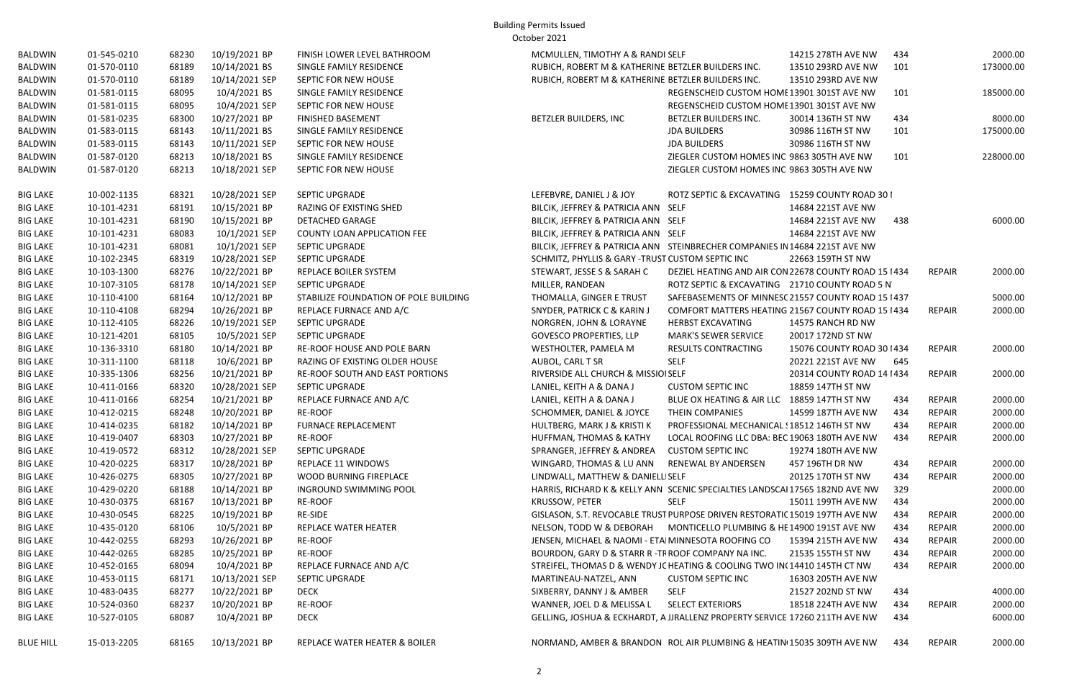| BALDWIN          | 01-545-0210 | 68230 | 10/19/2021 BP  | FINISH LOWER LEVEL BATHROOM           | MCMULLEN, TIMOTHY A & RANDI SELF                                             |                                                       | 14215 278TH AVE NW         | 434 |               | 2000.00   |
|------------------|-------------|-------|----------------|---------------------------------------|------------------------------------------------------------------------------|-------------------------------------------------------|----------------------------|-----|---------------|-----------|
| <b>BALDWIN</b>   | 01-570-0110 | 68189 | 10/14/2021 BS  | SINGLE FAMILY RESIDENCE               | RUBICH, ROBERT M & KATHERINE BETZLER BUILDERS INC.                           |                                                       | 13510 293RD AVE NW         | 101 |               | 173000.00 |
| BALDWIN          | 01-570-0110 | 68189 | 10/14/2021 SEP | SEPTIC FOR NEW HOUSE                  | RUBICH, ROBERT M & KATHERINE BETZLER BUILDERS INC.                           |                                                       | 13510 293RD AVE NW         |     |               |           |
| BALDWIN          | 01-581-0115 | 68095 | 10/4/2021 BS   | SINGLE FAMILY RESIDENCE               |                                                                              | REGENSCHEID CUSTOM HOME 13901 301ST AVE NW            |                            | 101 |               | 185000.00 |
| BALDWIN          | 01-581-0115 | 68095 | 10/4/2021 SEP  | SEPTIC FOR NEW HOUSE                  |                                                                              | REGENSCHEID CUSTOM HOME 13901 301ST AVE NW            |                            |     |               |           |
| BALDWIN          | 01-581-0235 | 68300 | 10/27/2021 BP  | <b>FINISHED BASEMENT</b>              | BETZLER BUILDERS, INC                                                        | BETZLER BUILDERS INC.                                 | 30014 136TH ST NW          | 434 |               | 8000.00   |
| BALDWIN          | 01-583-0115 | 68143 | 10/11/2021 BS  | SINGLE FAMILY RESIDENCE               |                                                                              | <b>JDA BUILDERS</b>                                   | 30986 116TH ST NW          | 101 |               | 175000.00 |
| BALDWIN          | 01-583-0115 | 68143 | 10/11/2021 SEP | SEPTIC FOR NEW HOUSE                  |                                                                              | <b>JDA BUILDERS</b>                                   | 30986 116TH ST NW          |     |               |           |
| BALDWIN          | 01-587-0120 | 68213 | 10/18/2021 BS  | SINGLE FAMILY RESIDENCE               |                                                                              | ZIEGLER CUSTOM HOMES INC 9863 305TH AVE NW            |                            | 101 |               | 228000.00 |
| BALDWIN          | 01-587-0120 | 68213 | 10/18/2021 SEP | SEPTIC FOR NEW HOUSE                  |                                                                              | ZIEGLER CUSTOM HOMES INC 9863 305TH AVE NW            |                            |     |               |           |
| <b>BIG LAKE</b>  | 10-002-1135 | 68321 | 10/28/2021 SEP | SEPTIC UPGRADE                        | LEFEBVRE, DANIEL J & JOY                                                     | ROTZ SEPTIC & EXCAVATING 15259 COUNTY ROAD 30 I       |                            |     |               |           |
| <b>BIG LAKE</b>  | 10-101-4231 | 68191 | 10/15/2021 BP  | RAZING OF EXISTING SHED               | BILCIK, JEFFREY & PATRICIA ANN SELF                                          |                                                       | 14684 221ST AVE NW         |     |               |           |
| <b>BIG LAKE</b>  | 10-101-4231 | 68190 | 10/15/2021 BP  | <b>DETACHED GARAGE</b>                | BILCIK, JEFFREY & PATRICIA ANN SELF                                          |                                                       | 14684 221ST AVE NW         | 438 |               | 6000.00   |
| <b>BIG LAKE</b>  | 10-101-4231 | 68083 | 10/1/2021 SEP  | <b>COUNTY LOAN APPLICATION FEE</b>    | BILCIK, JEFFREY & PATRICIA ANN SELF                                          |                                                       | 14684 221ST AVE NW         |     |               |           |
| <b>BIG LAKE</b>  | 10-101-4231 | 68081 | 10/1/2021 SEP  | SEPTIC UPGRADE                        | BILCIK, JEFFREY & PATRICIA ANN STEINBRECHER COMPANIES IN 14684 221ST AVE NW  |                                                       |                            |     |               |           |
| <b>BIG LAKE</b>  | 10-102-2345 | 68319 | 10/28/2021 SEP | SEPTIC UPGRADE                        | SCHMITZ, PHYLLIS & GARY -TRUST CUSTOM SEPTIC INC                             |                                                       | 22663 159TH ST NW          |     |               |           |
| <b>BIG LAKE</b>  | 10-103-1300 | 68276 | 10/22/2021 BP  | REPLACE BOILER SYSTEM                 | STEWART, JESSE S & SARAH C                                                   | DEZIEL HEATING AND AIR CON 22678 COUNTY ROAD 15 I 434 |                            |     | <b>REPAIR</b> | 2000.00   |
| <b>BIG LAKE</b>  | 10-107-3105 | 68178 | 10/14/2021 SEP | SEPTIC UPGRADE                        | MILLER, RANDEAN                                                              | ROTZ SEPTIC & EXCAVATING 21710 COUNTY ROAD 5 N'       |                            |     |               |           |
| <b>BIG LAKE</b>  | 10-110-4100 | 68164 | 10/12/2021 BP  | STABILIZE FOUNDATION OF POLE BUILDING | THOMALLA, GINGER E TRUST                                                     | SAFEBASEMENTS OF MINNESC 21557 COUNTY ROAD 15 1437    |                            |     |               | 5000.00   |
| <b>BIG LAKE</b>  | 10-110-4108 | 68294 | 10/26/2021 BP  | REPLACE FURNACE AND A/C               | <b>SNYDER, PATRICK C &amp; KARIN J</b>                                       | COMFORT MATTERS HEATING 21567 COUNTY ROAD 15 I 434    |                            |     | <b>REPAIR</b> | 2000.00   |
| <b>BIG LAKE</b>  | 10-112-4105 | 68226 | 10/19/2021 SEP | SEPTIC UPGRADE                        | NORGREN, JOHN & LORAYNE                                                      | HERBST EXCAVATING                                     | 14575 RANCH RD NW          |     |               |           |
| <b>BIG LAKE</b>  | 10-121-4201 | 68105 | 10/5/2021 SEP  | SEPTIC UPGRADE                        | <b>GOVESCO PROPERTIES, LLP</b>                                               | <b>MARK'S SEWER SERVICE</b>                           | 20017 172ND ST NW          |     |               |           |
| <b>BIG LAKE</b>  | 10-136-3310 | 68180 | 10/14/2021 BP  | RE-ROOF HOUSE AND POLE BARN           | WESTHOLTER, PAMELA M                                                         | RESULTS CONTRACTING                                   | 15076 COUNTY ROAD 30   434 |     | <b>REPAIR</b> | 2000.00   |
| <b>BIG LAKE</b>  | 10-311-1100 | 68118 | 10/6/2021 BP   | RAZING OF EXISTING OLDER HOUSE        | AUBOL, CARL T SR                                                             | <b>SELF</b>                                           | 20221 221ST AVE NW         | 645 |               |           |
| <b>BIG LAKE</b>  | 10-335-1306 | 68256 | 10/21/2021 BP  | RE-ROOF SOUTH AND EAST PORTIONS       | RIVERSIDE ALL CHURCH & MISSIOI SELF                                          |                                                       | 20314 COUNTY ROAD 14   434 |     | <b>REPAIR</b> | 2000.00   |
| <b>BIG LAKE</b>  | 10-411-0166 | 68320 | 10/28/2021 SEP | SEPTIC UPGRADE                        | LANIEL, KEITH A & DANA J                                                     | <b>CUSTOM SEPTIC INC</b>                              | 18859 147TH ST NW          |     |               |           |
| <b>BIG LAKE</b>  | 10-411-0166 | 68254 | 10/21/2021 BP  | REPLACE FURNACE AND A/C               | LANIEL, KEITH A & DANA J                                                     | BLUE OX HEATING & AIR LLC 18859 147TH ST NW           |                            | 434 | <b>REPAIR</b> | 2000.00   |
| <b>BIG LAKE</b>  | 10-412-0215 | 68248 | 10/20/2021 BP  | RE-ROOF                               | SCHOMMER, DANIEL & JOYCE                                                     | THEIN COMPANIES                                       | 14599 187TH AVE NW         | 434 | <b>REPAIR</b> | 2000.00   |
| <b>BIG LAKE</b>  | 10-414-0235 | 68182 | 10/14/2021 BP  | <b>FURNACE REPLACEMENT</b>            | HULTBERG, MARK J & KRISTI K                                                  | PROFESSIONAL MECHANICAL : 18512 146TH ST NW           |                            | 434 | <b>REPAIR</b> | 2000.00   |
| <b>BIG LAKE</b>  | 10-419-0407 | 68303 | 10/27/2021 BP  | RE-ROOF                               | HUFFMAN, THOMAS & KATHY                                                      | LOCAL ROOFING LLC DBA: BEC 19063 180TH AVE NW         |                            | 434 | <b>REPAIR</b> | 2000.00   |
| <b>BIG LAKE</b>  | 10-419-0572 | 68312 | 10/28/2021 SEP | <b>SEPTIC UPGRADE</b>                 | SPRANGER, JEFFREY & ANDREA CUSTOM SEPTIC INC                                 |                                                       | 19274 180TH AVE NW         |     |               |           |
| <b>BIG LAKE</b>  | 10-420-0225 | 68317 | 10/28/2021 BP  | REPLACE 11 WINDOWS                    | WINGARD, THOMAS & LU ANN RENEWAL BY ANDERSEN                                 |                                                       | 457 196TH DR NW            | 434 | <b>REPAIR</b> | 2000.00   |
| <b>BIG LAKE</b>  | 10-426-0275 | 68305 | 10/27/2021 BP  | WOOD BURNING FIREPLACE                | LINDWALL, MATTHEW & DANIELLISELF                                             |                                                       | 20125 170TH ST NW          | 434 | <b>REPAIR</b> | 2000.00   |
| <b>BIG LAKE</b>  | 10-429-0220 | 68188 | 10/14/2021 BP  | INGROUND SWIMMING POOL                | HARRIS, RICHARD K & KELLY ANN SCENIC SPECIALTIES LANDSCAI 17565 182ND AVE NW |                                                       |                            | 329 |               | 2000.00   |
| <b>BIG LAKE</b>  | 10-430-0375 | 68167 | 10/13/2021 BP  | RE-ROOF                               | KRUSSOW, PETER                                                               | SELF                                                  | 15011 199TH AVE NW         | 434 |               | 2000.00   |
| <b>BIG LAKE</b>  | 10-430-0545 | 68225 | 10/19/2021 BP  | <b>RE-SIDE</b>                        | GISLASON, S.T. REVOCABLE TRUST PURPOSE DRIVEN RESTORATIC 15019 197TH AVE NW  |                                                       |                            | 434 | REPAIR        | 2000.00   |
| <b>BIG LAKE</b>  | 10-435-0120 | 68106 | 10/5/2021 BP   | REPLACE WATER HEATER                  | NELSON, TODD W & DEBORAH MONTICELLO PLUMBING & HE 14900 191ST AVE NW         |                                                       |                            | 434 | <b>REPAIR</b> | 2000.00   |
| <b>BIG LAKE</b>  | 10-442-0255 | 68293 | 10/26/2021 BP  | RE-ROOF                               | JENSEN, MICHAEL & NAOMI - ETA MINNESOTA ROOFING CO                           |                                                       | 15394 215TH AVE NW         | 434 | <b>REPAIR</b> | 2000.00   |
| <b>BIG LAKE</b>  | 10-442-0265 | 68285 | 10/25/2021 BP  | <b>RE-ROOF</b>                        | BOURDON, GARY D & STARR R -TF ROOF COMPANY NA INC.                           |                                                       | 21535 155TH ST NW          | 434 | <b>REPAIR</b> | 2000.00   |
| <b>BIG LAKE</b>  | 10-452-0165 | 68094 | 10/4/2021 BP   | REPLACE FURNACE AND A/C               | STREIFEL, THOMAS D & WENDY JC HEATING & COOLING TWO IN(14410 145TH CT NW     |                                                       |                            | 434 | REPAIR        | 2000.00   |
| <b>BIG LAKE</b>  | 10-453-0115 | 68171 | 10/13/2021 SEP | <b>SEPTIC UPGRADE</b>                 | MARTINEAU-NATZEL, ANN                                                        | <b>CUSTOM SEPTIC INC</b>                              | 16303 205TH AVE NW         |     |               |           |
| <b>BIG LAKE</b>  | 10-483-0435 | 68277 | 10/22/2021 BP  | <b>DECK</b>                           | SIXBERRY, DANNY J & AMBER                                                    | SELF                                                  | 21527 202ND ST NW          | 434 |               | 4000.00   |
| <b>BIG LAKE</b>  | 10-524-0360 | 68237 | 10/20/2021 BP  | RE-ROOF                               | WANNER, JOEL D & MELISSA L SELECT EXTERIORS                                  |                                                       | 18518 224TH AVE NW         | 434 | REPAIR        | 2000.00   |
| <b>BIG LAKE</b>  | 10-527-0105 | 68087 | 10/4/2021 BP   | <b>DECK</b>                           | GELLING, JOSHUA & ECKHARDT, A JJRALLENZ PROPERTY SERVICE 17260 211TH AVE NW  |                                                       |                            | 434 |               | 6000.00   |
| <b>BLUE HILL</b> | 15-013-2205 | 68165 | 10/13/2021 BP  | REPLACE WATER HEATER & BOILER         | NORMAND, AMBER & BRANDON ROL AIR PLUMBING & HEATIN 15035 309TH AVE NW        |                                                       |                            | 434 | REPAIR        | 2000.00   |

| <b>A &amp; RANDI SELF</b>  |                                                         | 14215 278TH AVE NW         | 434 |               | 2000.00   |
|----------------------------|---------------------------------------------------------|----------------------------|-----|---------------|-----------|
|                            | ATHERINE BETZLER BUILDERS INC.                          | 13510 293RD AVE NW         | 101 |               | 173000.00 |
|                            | ATHERINE BETZLER BUILDERS INC.                          | 13510 293RD AVE NW         |     |               |           |
|                            | REGENSCHEID CUSTOM HOME 13901 301ST AVE NW              |                            | 101 |               | 185000.00 |
|                            | REGENSCHEID CUSTOM HOME 13901 301ST AVE NW              |                            |     |               |           |
|                            | BETZLER BUILDERS INC.                                   | 30014 136TH ST NW          | 434 |               | 8000.00   |
|                            | <b>JDA BUILDERS</b>                                     | 30986 116TH ST NW          | 101 |               | 175000.00 |
|                            | <b>JDA BUILDERS</b>                                     | 30986 116TH ST NW          |     |               |           |
|                            | ZIEGLER CUSTOM HOMES INC 9863 305TH AVE NW              |                            | 101 |               | 228000.00 |
|                            | ZIEGLER CUSTOM HOMES INC 9863 305TH AVE NW              |                            |     |               |           |
|                            |                                                         |                            |     |               |           |
| YC                         | ROTZ SEPTIC & EXCAVATING 15259 COUNTY ROAD 30 I         |                            |     |               |           |
| CIA ANN                    | <b>SELF</b>                                             | 14684 221ST AVE NW         |     |               |           |
| <b>CIA ANN</b>             | <b>SELF</b>                                             | 14684 221ST AVE NW         | 438 |               | 6000.00   |
| <b>CIA ANN</b>             | <b>SELF</b>                                             | 14684 221ST AVE NW         |     |               |           |
| CIA ANN                    | STEINBRECHER COMPANIES IN 14684 221ST AVE NW            |                            |     |               |           |
|                            | RY -TRUST CUSTOM SEPTIC INC                             | 22663 159TH ST NW          |     |               |           |
| RAH C                      | DEZIEL HEATING AND AIR CON 22678 COUNTY ROAD 15 I 434   |                            |     | <b>REPAIR</b> | 2000.00   |
|                            | ROTZ SEPTIC & EXCAVATING 21710 COUNTY ROAD 5 N'         |                            |     |               |           |
| <b>RUST</b>                | SAFEBASEMENTS OF MINNESC 21557 COUNTY ROAD 15 1437      |                            |     |               | 5000.00   |
| ARIN J                     | COMFORT MATTERS HEATING 21567 COUNTY ROAD 15 I 434      |                            |     | <b>REPAIR</b> | 2000.00   |
| <b>AYNE</b>                | <b>HERBST EXCAVATING</b>                                | 14575 RANCH RD NW          |     |               |           |
| LLP                        | <b>MARK'S SEWER SERVICE</b>                             | 20017 172ND ST NW          |     |               |           |
| M                          | <b>RESULTS CONTRACTING</b>                              | 15076 COUNTY ROAD 30   434 |     | <b>REPAIR</b> | 2000.00   |
|                            | <b>SELF</b>                                             | 20221 221ST AVE NW         | 645 |               |           |
| & MISSIOI SELF             |                                                         | 20314 COUNTY ROAD 14   434 |     | <b>REPAIR</b> | 2000.00   |
| ι                          | <b>CUSTOM SEPTIC INC</b>                                | 18859 147TH ST NW          |     |               |           |
| l /                        | BLUE OX HEATING & AIR LLC 18859 147TH ST NW             |                            | 434 | <b>REPAIR</b> | 2000.00   |
| JOYCE                      | THEIN COMPANIES                                         | 14599 187TH AVE NW         | 434 | <b>REPAIR</b> | 2000.00   |
| risti k                    | PROFESSIONAL MECHANICAL \: 18512 146TH ST NW            |                            | 434 | <b>REPAIR</b> | 2000.00   |
| KATHY                      | LOCAL ROOFING LLC DBA: BEC 19063 180TH AVE NW           |                            | 434 | <b>REPAIR</b> | 2000.00   |
| <b>NDREA</b>               | <b>CUSTOM SEPTIC INC</b>                                | 19274 180TH AVE NW         |     |               |           |
| U ANN                      | RENEWAL BY ANDERSEN                                     | 457 196TH DR NW            | 434 | REPAIR        | 2000.00   |
| <b>&amp; DANIELLI SELF</b> |                                                         | 20125 170TH ST NW          | 434 | <b>REPAIR</b> | 2000.00   |
|                            | ELLY ANN SCENIC SPECIALTIES LANDSCAI 17565 182ND AVE NW |                            | 329 |               | 2000.00   |
|                            | <b>SELF</b>                                             | 15011 199TH AVE NW         | 434 |               | 2000.00   |
|                            | BLE TRUST PURPOSE DRIVEN RESTORATIC 15019 197TH AVE NW  |                            | 434 | REPAIR        | 2000.00   |
| BORAH                      | MONTICELLO PLUMBING & HE 14900 191ST AVE NW             |                            | 434 | REPAIR        | 2000.00   |
|                            | OMI - ETA MINNESOTA ROOFING CO 15394 215TH AVE NW       |                            | 434 | <b>REPAIR</b> | 2000.00   |
|                            | FARR R -TF ROOF COMPANY NA INC.                         | 21535 155TH ST NW          | 434 | <b>REPAIR</b> | 2000.00   |
|                            | WENDY JC HEATING & COOLING TWO IN(14410 145TH CT NW     |                            | 434 | <b>REPAIR</b> | 2000.00   |
| NN                         | <b>CUSTOM SEPTIC INC</b>                                | 16303 205TH AVE NW         |     |               |           |
| MBER                       | <b>SELF</b>                                             | 21527 202ND ST NW          | 434 |               | 4000.00   |
| _ISSA L                    | <b>SELECT EXTERIORS</b>                                 | 18518 224TH AVE NW         | 434 | <b>REPAIR</b> | 2000.00   |
|                            | (HARDT, A JJRALLENZ PROPERTY SERVICE 17260 211TH AVE NW |                            | 434 |               | 6000.00   |
|                            | RANDON ROL AIR PLUMBING & HEATIN 15035 309TH AVE NW     |                            | 434 | <b>REPAIR</b> | 2000.00   |
|                            |                                                         |                            |     |               |           |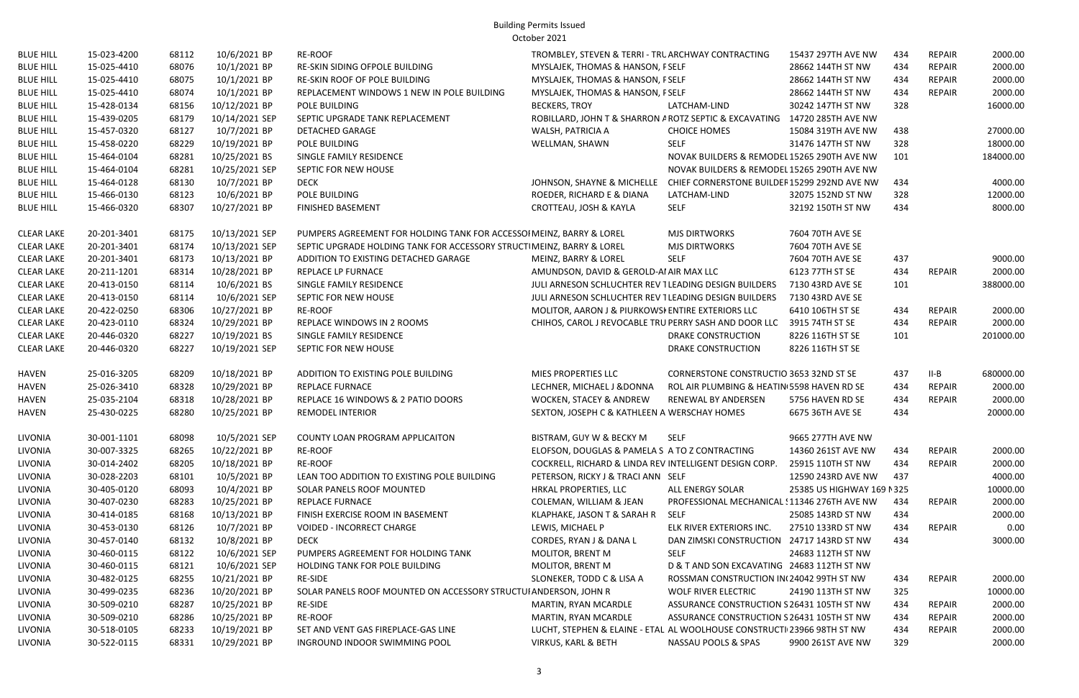| <b>BLUE HILL</b>  | 15-023-4200 | 68112 | 10/6/2021 BP   | <b>RE-ROOF</b>                                                        | TROMBLEY, STEVEN & TERRI - TRL ARCHWAY CONTRACTING                        |                                                | 15437 297TH AVE NW        | 434 | <b>REPAIR</b> | 2000.00   |
|-------------------|-------------|-------|----------------|-----------------------------------------------------------------------|---------------------------------------------------------------------------|------------------------------------------------|---------------------------|-----|---------------|-----------|
| <b>BLUE HILL</b>  | 15-025-4410 | 68076 | 10/1/2021 BP   | RE-SKIN SIDING OFPOLE BUILDING                                        | MYSLAJEK, THOMAS & HANSON, FSELF                                          |                                                | 28662 144TH ST NW         | 434 | <b>REPAIR</b> | 2000.00   |
| <b>BLUE HILL</b>  | 15-025-4410 | 68075 | 10/1/2021 BP   | RE-SKIN ROOF OF POLE BUILDING                                         | MYSLAJEK, THOMAS & HANSON, FSELF                                          |                                                | 28662 144TH ST NW         | 434 | <b>REPAIR</b> | 2000.00   |
| <b>BLUE HILL</b>  | 15-025-4410 | 68074 | 10/1/2021 BP   | REPLACEMENT WINDOWS 1 NEW IN POLE BUILDING                            | MYSLAJEK, THOMAS & HANSON, FSELF                                          |                                                | 28662 144TH ST NW         | 434 | <b>REPAIR</b> | 2000.00   |
| <b>BLUE HILL</b>  | 15-428-0134 | 68156 | 10/12/2021 BP  | POLE BUILDING                                                         | <b>BECKERS, TROY</b>                                                      | LATCHAM-LIND                                   | 30242 147TH ST NW         | 328 |               | 16000.00  |
| <b>BLUE HILL</b>  | 15-439-0205 | 68179 | 10/14/2021 SEP | SEPTIC UPGRADE TANK REPLACEMENT                                       | ROBILLARD, JOHN T & SHARRON A ROTZ SEPTIC & EXCAVATING 14720 285TH AVE NW |                                                |                           |     |               |           |
| <b>BLUE HILL</b>  | 15-457-0320 | 68127 | 10/7/2021 BP   | <b>DETACHED GARAGE</b>                                                | WALSH, PATRICIA A                                                         | <b>CHOICE HOMES</b>                            | 15084 319TH AVE NW        | 438 |               | 27000.00  |
| <b>BLUE HILL</b>  | 15-458-0220 | 68229 | 10/19/2021 BP  | POLE BUILDING                                                         | WELLMAN, SHAWN                                                            | <b>SELF</b>                                    | 31476 147TH ST NW         | 328 |               | 18000.00  |
| <b>BLUE HILL</b>  | 15-464-0104 | 68281 | 10/25/2021 BS  | SINGLE FAMILY RESIDENCE                                               |                                                                           | NOVAK BUILDERS & REMODEL 15265 290TH AVE NW    |                           | 101 |               | 184000.00 |
| <b>BLUE HILL</b>  | 15-464-0104 | 68281 | 10/25/2021 SEP | SEPTIC FOR NEW HOUSE                                                  |                                                                           | NOVAK BUILDERS & REMODEL 15265 290TH AVE NW    |                           |     |               |           |
| <b>BLUE HILL</b>  | 15-464-0128 | 68130 | 10/7/2021 BP   | <b>DECK</b>                                                           | JOHNSON, SHAYNE & MICHELLE  CHIEF CORNERSTONE BUILDEF15299 292ND AVE NW   |                                                |                           | 434 |               | 4000.00   |
| <b>BLUE HILL</b>  | 15-466-0130 | 68123 | 10/6/2021 BP   | POLE BUILDING                                                         | ROEDER, RICHARD E & DIANA                                                 | LATCHAM-LIND                                   | 32075 152ND ST NW         | 328 |               | 12000.00  |
| <b>BLUE HILL</b>  | 15-466-0320 | 68307 | 10/27/2021 BP  | <b>FINISHED BASEMENT</b>                                              | CROTTEAU, JOSH & KAYLA                                                    | <b>SELF</b>                                    | 32192 150TH ST NW         | 434 |               | 8000.00   |
| <b>CLEAR LAKE</b> | 20-201-3401 | 68175 | 10/13/2021 SEP | PUMPERS AGREEMENT FOR HOLDING TANK FOR ACCESSOI MEINZ, BARRY & LOREL  |                                                                           | <b>MJS DIRTWORKS</b>                           | 7604 70TH AVE SE          |     |               |           |
| <b>CLEAR LAKE</b> | 20-201-3401 | 68174 | 10/13/2021 SEP | SEPTIC UPGRADE HOLDING TANK FOR ACCESSORY STRUCTIMEINZ, BARRY & LOREL |                                                                           | <b>MJS DIRTWORKS</b>                           | 7604 70TH AVE SE          |     |               |           |
| <b>CLEAR LAKE</b> | 20-201-3401 | 68173 | 10/13/2021 BP  | ADDITION TO EXISTING DETACHED GARAGE                                  | MEINZ, BARRY & LOREL                                                      | <b>SELF</b>                                    | 7604 70TH AVE SE          | 437 |               | 9000.00   |
| <b>CLEAR LAKE</b> | 20-211-1201 | 68314 | 10/28/2021 BP  | REPLACE LP FURNACE                                                    | AMUNDSON, DAVID & GEROLD-AI AIR MAX LLC                                   |                                                | 6123 77TH ST SE           | 434 | REPAIR        | 2000.00   |
| <b>CLEAR LAKE</b> | 20-413-0150 | 68114 | 10/6/2021 BS   | SINGLE FAMILY RESIDENCE                                               | JULI ARNESON SCHLUCHTER REV TLEADING DESIGN BUILDERS                      |                                                | 7130 43RD AVE SE          | 101 |               | 388000.00 |
| <b>CLEAR LAKE</b> | 20-413-0150 | 68114 | 10/6/2021 SEP  | SEPTIC FOR NEW HOUSE                                                  | JULI ARNESON SCHLUCHTER REV TLEADING DESIGN BUILDERS                      |                                                | 7130 43RD AVE SE          |     |               |           |
| <b>CLEAR LAKE</b> | 20-422-0250 | 68306 | 10/27/2021 BP  | RE-ROOF                                                               | MOLITOR, AARON J & PIURKOWSI ENTIRE EXTERIORS LLC                         |                                                | 6410 106TH ST SE          | 434 | REPAIR        | 2000.00   |
| <b>CLEAR LAKE</b> | 20-423-0110 | 68324 | 10/29/2021 BP  | REPLACE WINDOWS IN 2 ROOMS                                            | CHIHOS, CAROL J REVOCABLE TRU PERRY SASH AND DOOR LLC                     |                                                | 3915 74TH ST SE           | 434 | <b>REPAIR</b> | 2000.00   |
| <b>CLEAR LAKE</b> | 20-446-0320 | 68227 | 10/19/2021 BS  | SINGLE FAMILY RESIDENCE                                               |                                                                           | DRAKE CONSTRUCTION                             | 8226 116TH ST SE          | 101 |               | 201000.00 |
| <b>CLEAR LAKE</b> | 20-446-0320 | 68227 | 10/19/2021 SEP | SEPTIC FOR NEW HOUSE                                                  |                                                                           | <b>DRAKE CONSTRUCTION</b>                      | 8226 116TH ST SE          |     |               |           |
| HAVEN             | 25-016-3205 | 68209 | 10/18/2021 BP  | ADDITION TO EXISTING POLE BUILDING                                    | MIES PROPERTIES LLC                                                       | <b>CORNERSTONE CONSTRUCTIO 3653 32ND ST SE</b> |                           | 437 | $II-B$        | 680000.00 |
| <b>HAVEN</b>      | 25-026-3410 | 68328 | 10/29/2021 BP  | <b>REPLACE FURNACE</b>                                                | LECHNER, MICHAEL J & DONNA                                                | ROL AIR PLUMBING & HEATIN 5598 HAVEN RD SE     |                           | 434 | <b>REPAIR</b> | 2000.00   |
| HAVEN             | 25-035-2104 | 68318 | 10/28/2021 BP  | REPLACE 16 WINDOWS & 2 PATIO DOORS                                    | WOCKEN, STACEY & ANDREW                                                   | RENEWAL BY ANDERSEN                            | 5756 HAVEN RD SE          | 434 | <b>REPAIR</b> | 2000.00   |
| <b>HAVEN</b>      | 25-430-0225 | 68280 | 10/25/2021 BP  | <b>REMODEL INTERIOR</b>                                               | SEXTON, JOSEPH C & KATHLEEN A WERSCHAY HOMES                              |                                                | 6675 36TH AVE SE          | 434 |               | 20000.00  |
| <b>LIVONIA</b>    | 30-001-1101 | 68098 | 10/5/2021 SEP  | COUNTY LOAN PROGRAM APPLICAITON                                       | BISTRAM, GUY W & BECKY M                                                  | <b>SELF</b>                                    | 9665 277TH AVE NW         |     |               |           |
| LIVONIA           | 30-007-3325 | 68265 | 10/22/2021 BP  | <b>RE-ROOF</b>                                                        | ELOFSON, DOUGLAS & PAMELA S A TO Z CONTRACTING                            |                                                | 14360 261ST AVE NW        | 434 | REPAIR        | 2000.00   |
| LIVONIA           | 30-014-2402 | 68205 | 10/18/2021 BP  | RE-ROOF                                                               | COCKRELL, RICHARD & LINDA REV INTELLIGENT DESIGN CORP.                    |                                                | 25915 110TH ST NW         | 434 | <b>REPAIR</b> | 2000.00   |
| LIVONIA           | 30-028-2203 | 68101 | 10/5/2021 BP   | LEAN TOO ADDITION TO EXISTING POLE BUILDING                           | PETERSON, RICKY J & TRACI ANN SELF                                        |                                                | 12590 243RD AVE NW        | 437 |               | 4000.00   |
| LIVONIA           | 30-405-0120 | 68093 | 10/4/2021 BP   | SOLAR PANELS ROOF MOUNTED                                             | HRKAL PROPERTIES, LLC                                                     | ALL ENERGY SOLAR                               | 25385 US HIGHWAY 169 N325 |     |               | 10000.00  |
| LIVONIA           | 30-407-0230 | 68283 | 10/25/2021 BP  | REPLACE FURNACE                                                       | COLEMAN, WILLIAM & JEAN                                                   | PROFESSIONAL MECHANICAL : 11346 276TH AVE NW   |                           | 434 | REPAIR        | 2000.00   |
| LIVONIA           | 30-414-0185 | 68168 | 10/13/2021 BP  | FINISH EXERCISE ROOM IN BASEMENT                                      | KLAPHAKE, JASON T & SARAH R SELF                                          |                                                | 25085 143RD ST NW         | 434 |               | 2000.00   |
| LIVONIA           | 30-453-0130 | 68126 | 10/7/2021 BP   | <b>VOIDED - INCORRECT CHARGE</b>                                      | LEWIS, MICHAEL P                                                          | ELK RIVER EXTERIORS INC.                       | 27510 133RD ST NW         | 434 | <b>REPAIR</b> | 0.00      |
| LIVONIA           | 30-457-0140 | 68132 | 10/8/2021 BP   | DECK                                                                  | CORDES, RYAN J & DANA L                                                   | DAN ZIMSKI CONSTRUCTION 24717 143RD ST NW      |                           | 434 |               | 3000.00   |
| LIVONIA           | 30-460-0115 | 68122 | 10/6/2021 SEP  | PUMPERS AGREEMENT FOR HOLDING TANK                                    | MOLITOR, BRENT M                                                          | SELF                                           | 24683 112TH ST NW         |     |               |           |
| LIVONIA           | 30-460-0115 | 68121 | 10/6/2021 SEP  | HOLDING TANK FOR POLE BUILDING                                        | MOLITOR, BRENT M                                                          | D & T AND SON EXCAVATING 24683 112TH ST NW     |                           |     |               |           |
| <b>LIVONIA</b>    | 30-482-0125 | 68255 | 10/21/2021 BP  | <b>RE-SIDE</b>                                                        | SLONEKER, TODD C & LISA A                                                 | ROSSMAN CONSTRUCTION IN 24042 99TH ST NW       |                           | 434 | <b>REPAIR</b> | 2000.00   |
| LIVONIA           | 30-499-0235 | 68236 | 10/20/2021 BP  | SOLAR PANELS ROOF MOUNTED ON ACCESSORY STRUCTUI ANDERSON, JOHN R      |                                                                           | WOLF RIVER ELECTRIC                            | 24190 113TH ST NW         | 325 |               | 10000.00  |
| LIVONIA           | 30-509-0210 | 68287 | 10/25/2021 BP  | RE-SIDE                                                               | MARTIN, RYAN MCARDLE                                                      | ASSURANCE CONSTRUCTION S 26431 105TH ST NW     |                           | 434 | REPAIR        | 2000.00   |
| LIVONIA           | 30-509-0210 | 68286 | 10/25/2021 BP  | <b>RE-ROOF</b>                                                        | MARTIN, RYAN MCARDLE                                                      | ASSURANCE CONSTRUCTION S 26431 105TH ST NW     |                           | 434 | REPAIR        | 2000.00   |
| LIVONIA           | 30-518-0105 | 68233 | 10/19/2021 BP  | SET AND VENT GAS FIREPLACE-GAS LINE                                   | LUCHT, STEPHEN & ELAINE - ETAL AL WOOLHOUSE CONSTRUCTI 23966 98TH ST NW   |                                                |                           | 434 | <b>REPAIR</b> | 2000.00   |
| <b>LIVONIA</b>    | 30-522-0115 | 68331 | 10/29/2021 BP  | INGROUND INDOOR SWIMMING POOL                                         | VIRKUS, KARL & BETH                                                       | NASSAU POOLS & SPAS                            | 9900 261ST AVE NW         | 329 |               | 2000.00   |
|                   |             |       |                |                                                                       |                                                                           |                                                |                           |     |               |           |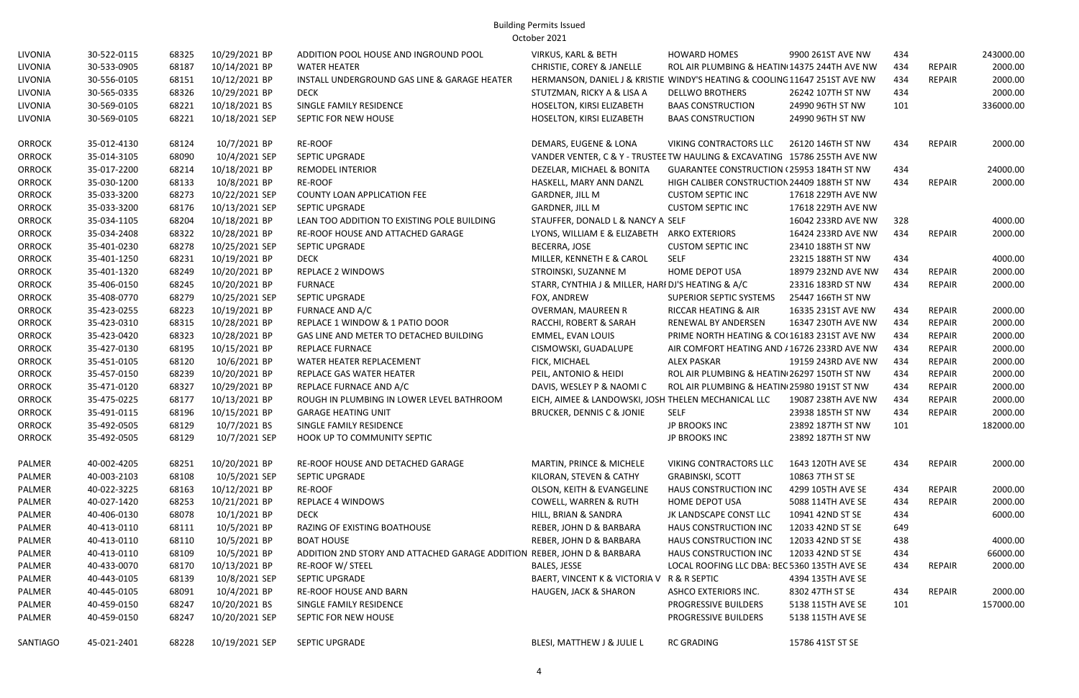| LIVONIA       | 30-522-0115 | 68325 | 10/29/2021 BP  | ADDITION POOL HOUSE AND INGROUND POOL                                   | <b>VIRKUS, KARL &amp; BETH</b>                                             | <b>HOWARD HOMES</b>                              | 9900 261ST AVE NW  | 434 |               | 243000.00 |
|---------------|-------------|-------|----------------|-------------------------------------------------------------------------|----------------------------------------------------------------------------|--------------------------------------------------|--------------------|-----|---------------|-----------|
| LIVONIA       | 30-533-0905 | 68187 | 10/14/2021 BP  | <b>WATER HEATER</b>                                                     | CHRISTIE, COREY & JANELLE                                                  | ROL AIR PLUMBING & HEATIN 14375 244TH AVE NW     |                    | 434 | <b>REPAIR</b> | 2000.00   |
| LIVONIA       | 30-556-0105 | 68151 | 10/12/2021 BP  | INSTALL UNDERGROUND GAS LINE & GARAGE HEATER                            | HERMANSON, DANIEL J & KRISTIE WINDY'S HEATING & COOLING 11647 251ST AVE NW |                                                  |                    | 434 | <b>REPAIR</b> | 2000.00   |
| LIVONIA       | 30-565-0335 | 68326 | 10/29/2021 BP  | <b>DECK</b>                                                             | STUTZMAN, RICKY A & LISA A                                                 | <b>DELLWO BROTHERS</b>                           | 26242 107TH ST NW  | 434 |               | 2000.00   |
| LIVONIA       | 30-569-0105 | 68221 | 10/18/2021 BS  | SINGLE FAMILY RESIDENCE                                                 | HOSELTON, KIRSI ELIZABETH                                                  | <b>BAAS CONSTRUCTION</b>                         | 24990 96TH ST NW   | 101 |               | 336000.00 |
| LIVONIA       | 30-569-0105 | 68221 | 10/18/2021 SEP | SEPTIC FOR NEW HOUSE                                                    | HOSELTON, KIRSI ELIZABETH                                                  | <b>BAAS CONSTRUCTION</b>                         | 24990 96TH ST NW   |     |               |           |
| <b>ORROCK</b> | 35-012-4130 | 68124 | 10/7/2021 BP   | RE-ROOF                                                                 | DEMARS, EUGENE & LONA                                                      | VIKING CONTRACTORS LLC                           | 26120 146TH ST NW  | 434 | <b>REPAIR</b> | 2000.00   |
| <b>ORROCK</b> | 35-014-3105 | 68090 | 10/4/2021 SEP  | SEPTIC UPGRADE                                                          | VANDER VENTER, C & Y - TRUSTEE TW HAULING & EXCAVATING 15786 255TH AVE NW  |                                                  |                    |     |               |           |
| <b>ORROCK</b> | 35-017-2200 | 68214 | 10/18/2021 BP  | REMODEL INTERIOR                                                        | DEZELAR, MICHAEL & BONITA                                                  | <b>GUARANTEE CONSTRUCTION (25953 184TH ST NW</b> |                    | 434 |               | 24000.00  |
| <b>ORROCK</b> | 35-030-1200 | 68133 | 10/8/2021 BP   | RE-ROOF                                                                 | HASKELL, MARY ANN DANZL                                                    | HIGH CALIBER CONSTRUCTION 24409 188TH ST NW      |                    | 434 | <b>REPAIR</b> | 2000.00   |
| <b>ORROCK</b> | 35-033-3200 | 68273 | 10/22/2021 SEP | COUNTY LOAN APPLICATION FEE                                             | GARDNER, JILL M                                                            | <b>CUSTOM SEPTIC INC</b>                         | 17618 229TH AVE NW |     |               |           |
| <b>ORROCK</b> | 35-033-3200 | 68176 | 10/13/2021 SEP | <b>SEPTIC UPGRADE</b>                                                   | <b>GARDNER, JILL M</b>                                                     | <b>CUSTOM SEPTIC INC</b>                         | 17618 229TH AVE NW |     |               |           |
| <b>ORROCK</b> | 35-034-1105 | 68204 | 10/18/2021 BP  | LEAN TOO ADDITION TO EXISTING POLE BUILDING                             | STAUFFER, DONALD L & NANCY A SELF                                          |                                                  | 16042 233RD AVE NW | 328 |               | 4000.00   |
| <b>ORROCK</b> | 35-034-2408 | 68322 | 10/28/2021 BP  | RE-ROOF HOUSE AND ATTACHED GARAGE                                       | LYONS, WILLIAM E & ELIZABETH ARKO EXTERIORS                                |                                                  | 16424 233RD AVE NW | 434 | REPAIR        | 2000.00   |
| <b>ORROCK</b> | 35-401-0230 | 68278 | 10/25/2021 SEP | SEPTIC UPGRADE                                                          | BECERRA, JOSE                                                              | <b>CUSTOM SEPTIC INC</b>                         | 23410 188TH ST NW  |     |               |           |
| <b>ORROCK</b> | 35-401-1250 | 68231 | 10/19/2021 BP  | <b>DECK</b>                                                             | MILLER, KENNETH E & CAROL                                                  | SELF                                             | 23215 188TH ST NW  | 434 |               | 4000.00   |
| <b>ORROCK</b> | 35-401-1320 | 68249 | 10/20/2021 BP  | <b>REPLACE 2 WINDOWS</b>                                                | STROINSKI, SUZANNE M                                                       | <b>HOME DEPOT USA</b>                            | 18979 232ND AVE NW | 434 | <b>REPAIR</b> | 2000.00   |
| <b>ORROCK</b> | 35-406-0150 | 68245 | 10/20/2021 BP  | <b>FURNACE</b>                                                          | STARR, CYNTHIA J & MILLER, HARI DJ'S HEATING & A/C                         |                                                  | 23316 183RD ST NW  | 434 | REPAIR        | 2000.00   |
| <b>ORROCK</b> | 35-408-0770 | 68279 | 10/25/2021 SEP | SEPTIC UPGRADE                                                          | FOX, ANDREW                                                                | SUPERIOR SEPTIC SYSTEMS                          | 25447 166TH ST NW  |     |               |           |
| <b>ORROCK</b> | 35-423-0255 | 68223 | 10/19/2021 BP  | FURNACE AND A/C                                                         | OVERMAN, MAUREEN R                                                         | RICCAR HEATING & AIR                             | 16335 231ST AVE NW | 434 | REPAIR        | 2000.00   |
| <b>ORROCK</b> | 35-423-0310 | 68315 | 10/28/2021 BP  | REPLACE 1 WINDOW & 1 PATIO DOOR                                         | RACCHI, ROBERT & SARAH                                                     | RENEWAL BY ANDERSEN                              | 16347 230TH AVE NW | 434 | <b>REPAIR</b> | 2000.00   |
| <b>ORROCK</b> | 35-423-0420 | 68323 | 10/28/2021 BP  | GAS LINE AND METER TO DETACHED BUILDING                                 | EMMEL, EVAN LOUIS                                                          | PRIME NORTH HEATING & CO(16183 231ST AVE NW      |                    | 434 | <b>REPAIR</b> | 2000.00   |
| <b>ORROCK</b> | 35-427-0130 | 68195 | 10/15/2021 BP  | REPLACE FURNACE                                                         | CISMOWSKI, GUADALUPE                                                       | AIR COMFORT HEATING AND / 16726 233RD AVE NW     |                    | 434 | <b>REPAIR</b> | 2000.00   |
| <b>ORROCK</b> | 35-451-0105 | 68120 | 10/6/2021 BP   | WATER HEATER REPLACEMENT                                                | FICK, MICHAEL                                                              | <b>ALEX PASKAR</b>                               | 19159 243RD AVE NW | 434 | <b>REPAIR</b> | 2000.00   |
| <b>ORROCK</b> | 35-457-0150 | 68239 | 10/20/2021 BP  | REPLACE GAS WATER HEATER                                                | PEIL, ANTONIO & HEIDI                                                      | ROL AIR PLUMBING & HEATIN 26297 150TH ST NW      |                    | 434 | <b>REPAIR</b> | 2000.00   |
| <b>ORROCK</b> | 35-471-0120 | 68327 | 10/29/2021 BP  | REPLACE FURNACE AND A/C                                                 | DAVIS, WESLEY P & NAOMI C                                                  | ROL AIR PLUMBING & HEATIN(25980 191ST ST NW      |                    | 434 | <b>REPAIR</b> | 2000.00   |
| <b>ORROCK</b> | 35-475-0225 | 68177 | 10/13/2021 BP  | ROUGH IN PLUMBING IN LOWER LEVEL BATHROOM                               | EICH, AIMEE & LANDOWSKI, JOSH THELEN MECHANICAL LLC                        |                                                  | 19087 238TH AVE NW | 434 | REPAIR        | 2000.00   |
| <b>ORROCK</b> | 35-491-0115 | 68196 | 10/15/2021 BP  | <b>GARAGE HEATING UNIT</b>                                              | <b>BRUCKER, DENNIS C &amp; JONIE</b>                                       | <b>SELF</b>                                      | 23938 185TH ST NW  | 434 | <b>REPAIR</b> | 2000.00   |
| <b>ORROCK</b> | 35-492-0505 | 68129 | 10/7/2021 BS   | SINGLE FAMILY RESIDENCE                                                 |                                                                            | JP BROOKS INC                                    | 23892 187TH ST NW  | 101 |               | 182000.00 |
| <b>ORROCK</b> | 35-492-0505 | 68129 | 10/7/2021 SEP  | HOOK UP TO COMMUNITY SEPTIC                                             |                                                                            | JP BROOKS INC                                    | 23892 187TH ST NW  |     |               |           |
| PALMER        | 40-002-4205 | 68251 | 10/20/2021 BP  | RE-ROOF HOUSE AND DETACHED GARAGE                                       | MARTIN, PRINCE & MICHELE                                                   | <b>VIKING CONTRACTORS LLC</b>                    | 1643 120TH AVE SE  | 434 | REPAIR        | 2000.00   |
| PALMER        | 40-003-2103 | 68108 | 10/5/2021 SEP  | SEPTIC UPGRADE                                                          | KILORAN, STEVEN & CATHY                                                    | <b>GRABINSKI, SCOTT</b>                          | 10863 7TH ST SE    |     |               |           |
| PALMER        | 40-022-3225 | 68163 | 10/12/2021 BP  | RE-ROOF                                                                 | OLSON, KEITH & EVANGELINE                                                  | HAUS CONSTRUCTION INC                            | 4299 105TH AVE SE  | 434 | <b>REPAIR</b> | 2000.00   |
| PALMER        | 40-027-1420 | 68253 | 10/21/2021 BP  | <b>REPLACE 4 WINDOWS</b>                                                | <b>COWELL, WARREN &amp; RUTH</b>                                           | HOME DEPOT USA                                   | 5088 114TH AVE SE  | 434 | <b>REPAIR</b> | 2000.00   |
| PALMER        | 40-406-0130 | 68078 | 10/1/2021 BP   | <b>DECK</b>                                                             | HILL, BRIAN & SANDRA                                                       | JK LANDSCAPE CONST LLC                           | 10941 42ND ST SE   | 434 |               | 6000.00   |
| PALMER        | 40-413-0110 | 68111 | 10/5/2021 BP   | RAZING OF EXISTING BOATHOUSE                                            | REBER, JOHN D & BARBARA                                                    | HAUS CONSTRUCTION INC                            | 12033 42ND ST SE   | 649 |               |           |
| PALMER        | 40-413-0110 | 68110 | 10/5/2021 BP   | <b>BOAT HOUSE</b>                                                       | REBER, JOHN D & BARBARA                                                    | <b>HAUS CONSTRUCTION INC</b>                     | 12033 42ND ST SE   | 438 |               | 4000.00   |
| PALMER        | 40-413-0110 | 68109 | 10/5/2021 BP   | ADDITION 2ND STORY AND ATTACHED GARAGE ADDITION REBER, JOHN D & BARBARA |                                                                            | HAUS CONSTRUCTION INC                            | 12033 42ND ST SE   | 434 |               | 66000.00  |
| PALMER        | 40-433-0070 | 68170 | 10/13/2021 BP  | <b>RE-ROOF W/ STEEL</b>                                                 | <b>BALES, JESSE</b>                                                        | LOCAL ROOFING LLC DBA: BEC 5360 135TH AVE SE     |                    | 434 | REPAIR        | 2000.00   |
| PALMER        | 40-443-0105 | 68139 | 10/8/2021 SEP  | SEPTIC UPGRADE                                                          | BAERT, VINCENT K & VICTORIA V R & R SEPTIC                                 |                                                  | 4394 135TH AVE SE  |     |               |           |
| PALMER        | 40-445-0105 | 68091 | 10/4/2021 BP   | <b>RE-ROOF HOUSE AND BARN</b>                                           | <b>HAUGEN, JACK &amp; SHARON</b>                                           | ASHCO EXTERIORS INC.                             | 8302 47TH ST SE    | 434 | REPAIR        | 2000.00   |
| PALMER        | 40-459-0150 | 68247 | 10/20/2021 BS  | SINGLE FAMILY RESIDENCE                                                 |                                                                            | <b>PROGRESSIVE BUILDERS</b>                      | 5138 115TH AVE SE  | 101 |               | 157000.00 |
| PALMER        | 40-459-0150 | 68247 | 10/20/2021 SEP | SEPTIC FOR NEW HOUSE                                                    |                                                                            | PROGRESSIVE BUILDERS                             | 5138 115TH AVE SE  |     |               |           |
| SANTIAGO      | 45-021-2401 | 68228 | 10/19/2021 SEP | SEPTIC UPGRADE                                                          | BLESI, MATTHEW J & JULIE L                                                 | <b>RC GRADING</b>                                | 15786 41ST ST SE   |     |               |           |